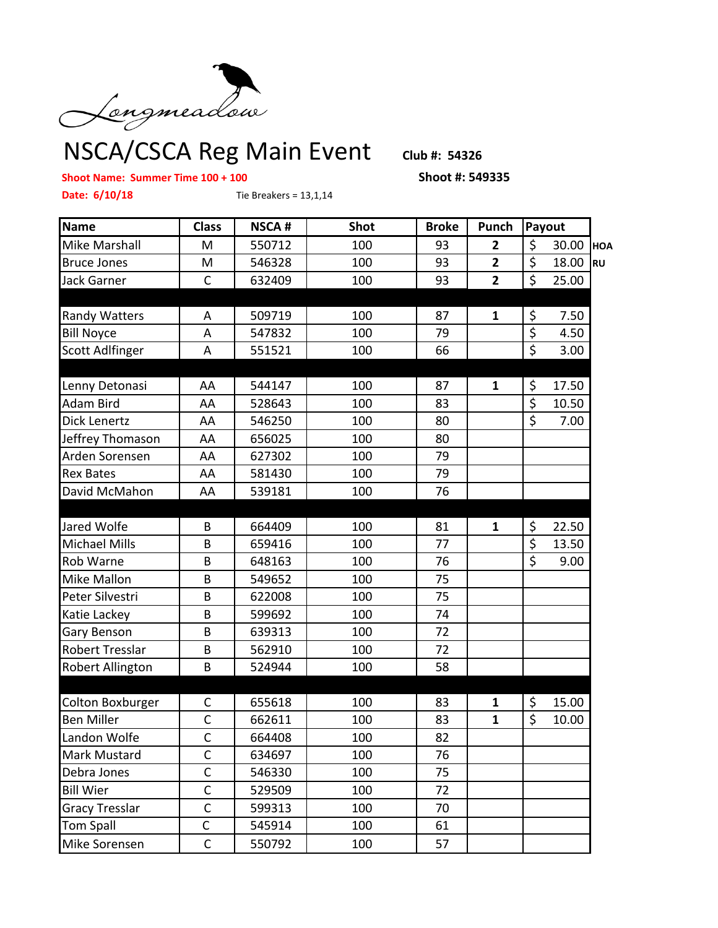

NSCA/CSCA Reg Main Event **Club #: 54326**

## **Shoot Name: Summer Time 100 + 100 Shoot #: 549335**

**Date: 6/10/18** Tie Breakers = 13,1,14

| <b>Name</b>            | <b>Class</b>            | <b>NSCA#</b> | <b>Shot</b> | <b>Broke</b> | Punch          | Payout                          |       |           |
|------------------------|-------------------------|--------------|-------------|--------------|----------------|---------------------------------|-------|-----------|
| Mike Marshall          | M                       | 550712       | 100         | 93           | $\overline{2}$ | \$                              | 30.00 | HOA       |
| <b>Bruce Jones</b>     | M                       | 546328       | 100         | 93           | $\overline{2}$ | $\overline{\xi}$                | 18.00 | <b>RU</b> |
| <b>Jack Garner</b>     | $\mathsf{C}$            | 632409       | 100         | 93           | $\overline{2}$ | $\overline{\xi}$                | 25.00 |           |
|                        |                         |              |             |              |                |                                 |       |           |
| <b>Randy Watters</b>   | Α                       | 509719       | 100         | 87           | $\mathbf{1}$   | \$                              | 7.50  |           |
| <b>Bill Noyce</b>      | A                       | 547832       | 100         | 79           |                | $\overline{\boldsymbol{\zeta}}$ | 4.50  |           |
| Scott Adlfinger        | Α                       | 551521       | 100         | 66           |                | $\overline{\xi}$                | 3.00  |           |
|                        |                         |              |             |              |                |                                 |       |           |
| Lenny Detonasi         | AA                      | 544147       | 100         | 87           | $\mathbf{1}$   | \$                              | 17.50 |           |
| Adam Bird              | AA                      | 528643       | 100         | 83           |                | $\overline{\xi}$                | 10.50 |           |
| Dick Lenertz           | AA                      | 546250       | 100         | 80           |                | \$                              | 7.00  |           |
| Jeffrey Thomason       | AA                      | 656025       | 100         | 80           |                |                                 |       |           |
| Arden Sorensen         | AA                      | 627302       | 100         | 79           |                |                                 |       |           |
| <b>Rex Bates</b>       | AA                      | 581430       | 100         | 79           |                |                                 |       |           |
| David McMahon          | AA                      | 539181       | 100         | 76           |                |                                 |       |           |
|                        |                         |              |             |              |                |                                 |       |           |
| Jared Wolfe            | B                       | 664409       | 100         | 81           | $\mathbf{1}$   | \$                              | 22.50 |           |
| <b>Michael Mills</b>   | B                       | 659416       | 100         | 77           |                | $\overline{\xi}$                | 13.50 |           |
| Rob Warne              | B                       | 648163       | 100         | 76           |                | $\overline{\boldsymbol{\zeta}}$ | 9.00  |           |
| Mike Mallon            | B                       | 549652       | 100         | 75           |                |                                 |       |           |
| Peter Silvestri        | B                       | 622008       | 100         | 75           |                |                                 |       |           |
| Katie Lackey           | B                       | 599692       | 100         | 74           |                |                                 |       |           |
| Gary Benson            | B                       | 639313       | 100         | 72           |                |                                 |       |           |
| <b>Robert Tresslar</b> | B                       | 562910       | 100         | 72           |                |                                 |       |           |
| Robert Allington       | B                       | 524944       | 100         | 58           |                |                                 |       |           |
|                        |                         |              |             |              |                |                                 |       |           |
| Colton Boxburger       | C                       | 655618       | 100         | 83           | $\mathbf{1}$   | \$                              | 15.00 |           |
| <b>Ben Miller</b>      | $\mathsf C$             | 662611       | 100         | 83           | $\mathbf{1}$   | \$                              | 10.00 |           |
| Landon Wolfe           | $\overline{\mathsf{C}}$ | 664408       | 100         | 82           |                |                                 |       |           |
| <b>Mark Mustard</b>    | C                       | 634697       | 100         | 76           |                |                                 |       |           |
| Debra Jones            | C                       | 546330       | 100         | 75           |                |                                 |       |           |
| <b>Bill Wier</b>       | $\mathsf C$             | 529509       | 100         | 72           |                |                                 |       |           |
| <b>Gracy Tresslar</b>  | $\mathsf{C}$            | 599313       | 100         | 70           |                |                                 |       |           |
| <b>Tom Spall</b>       | $\mathsf C$             | 545914       | 100         | 61           |                |                                 |       |           |
| Mike Sorensen          | $\mathsf C$             | 550792       | 100         | 57           |                |                                 |       |           |